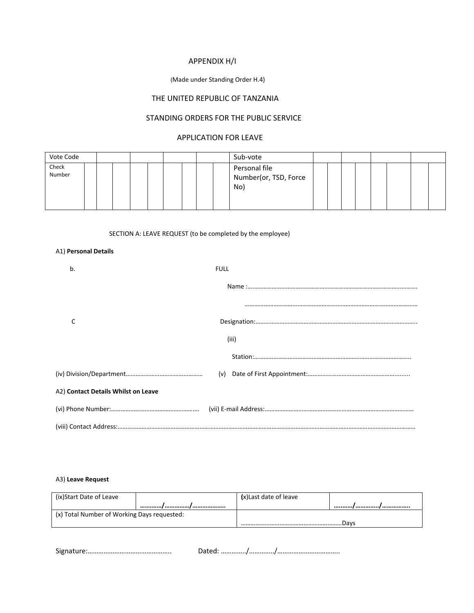# APPENDIX H/I

#### (Made under Standing Order H.4)

# THE UNITED REPUBLIC OF TANZANIA

## STANDING ORDERS FOR THE PUBLIC SERVICE

## APPLICATION FOR LEAVE

| Vote Code       |  |  |  |  | Sub-vote                                      |  |  |  |  |
|-----------------|--|--|--|--|-----------------------------------------------|--|--|--|--|
| Check<br>Number |  |  |  |  | Personal file<br>Number(or, TSD, Force<br>No) |  |  |  |  |

### SECTION A: LEAVE REQUEST (to be completed by the employee)

#### A1) **Personal Details**

| b.                                  | <b>FULL</b> |
|-------------------------------------|-------------|
|                                     |             |
|                                     |             |
| C                                   |             |
|                                     | (iii)       |
|                                     |             |
|                                     |             |
|                                     |             |
| A2) Contact Details Whilst on Leave |             |
|                                     |             |
|                                     |             |

### A3) **Leave Request**

| (ix)Start Date of Leave                     | (x)Last date of leave |      |
|---------------------------------------------|-----------------------|------|
|                                             |                       |      |
| (x) Total Number of Working Days requested: |                       |      |
|                                             |                       | Davs |

Signature:……………………………………….. Dated: …………../…………../……………………………..